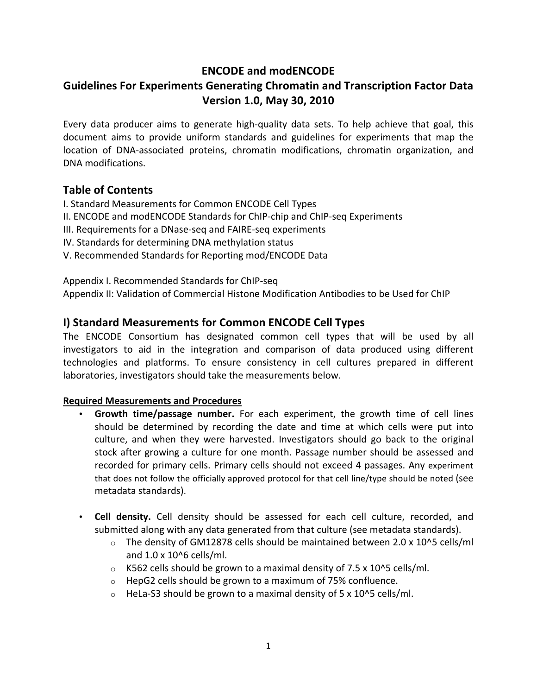# **ENCODE and modENCODE**

# **Guidelines For Experiments Generating Chromatin and Transcription Factor Data Version 1.0, May 30, 2010**

Every data producer aims to generate high-quality data sets. To help achieve that goal, this document aims to provide uniform standards and guidelines for experiments that map the location of DNA-associated proteins, chromatin modifications, chromatin organization, and DNA modifications.

# **Table of Contents**

I. Standard Measurements for Common ENCODE Cell Types

- II. ENCODE and modENCODE Standards for ChIP-chip and ChIP-seq Experiments
- III. Requirements for a DNase-seq and FAIRE-seq experiments
- IV. Standards for determining DNA methylation status
- V. Recommended Standards for Reporting mod/ENCODE Data

Appendix I. Recommended Standards for ChIP-seq

Appendix II: Validation of Commercial Histone Modification Antibodies to be Used for ChIP

# **I) Standard Measurements for Common ENCODE Cell Types**

The ENCODE Consortium has designated common cell types that will be used by all investigators to aid in the integration and comparison of data produced using different technologies and platforms. To ensure consistency in cell cultures prepared in different laboratories, investigators should take the measurements below.

### **Required Measurements and Procedures**

- **Growth time/passage number.** For each experiment, the growth time of cell lines should be determined by recording the date and time at which cells were put into culture, and when they were harvested. Investigators should go back to the original stock after growing a culture for one month. Passage number should be assessed and recorded for primary cells. Primary cells should not exceed 4 passages. Any experiment that does not follow the officially approved protocol for that cell line/type should be noted (see metadata standards).
- Cell density. Cell density should be assessed for each cell culture, recorded, and submitted along with any data generated from that culture (see metadata standards).
	- $\circ$  The density of GM12878 cells should be maintained between 2.0 x 10^5 cells/ml and  $1.0 \times 10^{6}$  cells/ml.
	- $\circ$  K562 cells should be grown to a maximal density of 7.5 x 10^5 cells/ml.
	- $\circ$  HepG2 cells should be grown to a maximum of 75% confluence.
	- $\circ$  HeLa-S3 should be grown to a maximal density of 5 x 10^5 cells/ml.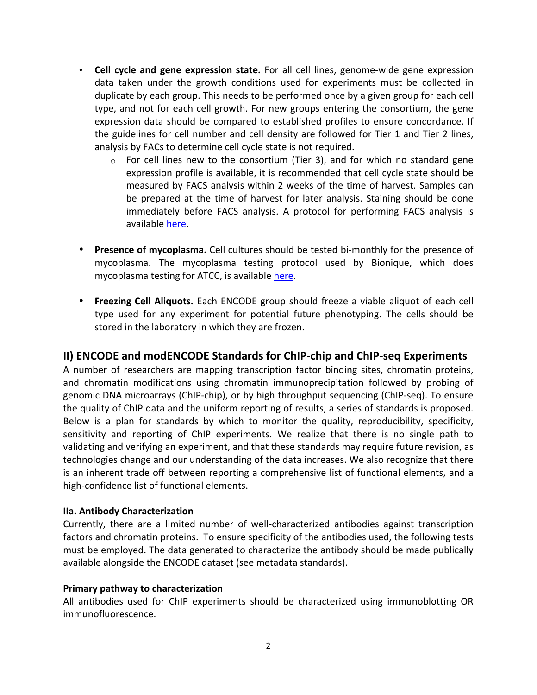- **Cell cycle and gene expression state.** For all cell lines, genome-wide gene expression data taken under the growth conditions used for experiments must be collected in duplicate by each group. This needs to be performed once by a given group for each cell type, and not for each cell growth. For new groups entering the consortium, the gene expression data should be compared to established profiles to ensure concordance. If the guidelines for cell number and cell density are followed for Tier 1 and Tier 2 lines, analysis by FACs to determine cell cycle state is not required.
	- $\circ$  For cell lines new to the consortium (Tier 3), and for which no standard gene expression profile is available, it is recommended that cell cycle state should be measured by FACS analysis within 2 weeks of the time of harvest. Samples can be prepared at the time of harvest for later analysis. Staining should be done immediately before FACS analysis. A protocol for performing FACS analysis is available here.
- **Presence of mycoplasma.** Cell cultures should be tested bi-monthly for the presence of mycoplasma. The mycoplasma testing protocol used by Bionique, which does mycoplasma testing for ATCC, is available here.
- **Freezing Cell Aliquots.** Each ENCODE group should freeze a viable aliquot of each cell type used for any experiment for potential future phenotyping. The cells should be stored in the laboratory in which they are frozen.

# **II) ENCODE and modENCODE Standards for ChIP-chip and ChIP-seq Experiments**

A number of researchers are mapping transcription factor binding sites, chromatin proteins, and chromatin modifications using chromatin immunoprecipitation followed by probing of genomic DNA microarrays (ChIP-chip), or by high throughput sequencing (ChIP-seq). To ensure the quality of ChIP data and the uniform reporting of results, a series of standards is proposed. Below is a plan for standards by which to monitor the quality, reproducibility, specificity, sensitivity and reporting of ChIP experiments. We realize that there is no single path to validating and verifying an experiment, and that these standards may require future revision, as technologies change and our understanding of the data increases. We also recognize that there is an inherent trade off between reporting a comprehensive list of functional elements, and a high-confidence list of functional elements.

## **IIa. Antibody Characterization**

Currently, there are a limited number of well-characterized antibodies against transcription factors and chromatin proteins. To ensure specificity of the antibodies used, the following tests must be employed. The data generated to characterize the antibody should be made publically available alongside the ENCODE dataset (see metadata standards).

### **Primary pathway to characterization**

All antibodies used for ChIP experiments should be characterized using immunoblotting OR immunofluorescence.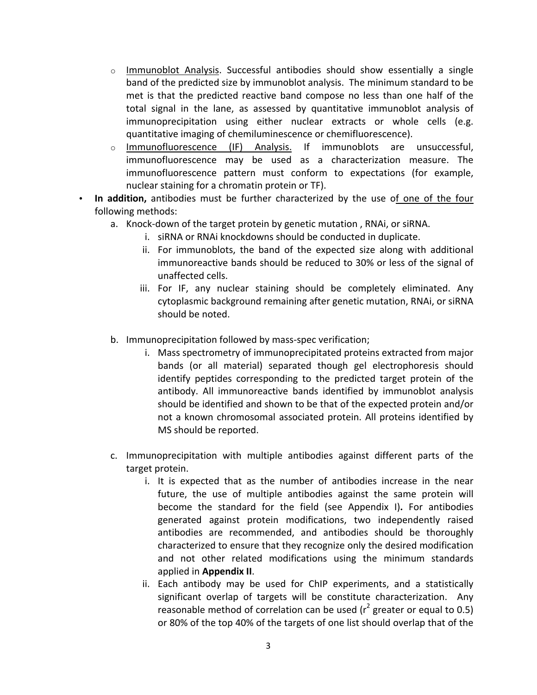- $\circ$  Immunoblot Analysis. Successful antibodies should show essentially a single band of the predicted size by immunoblot analysis. The minimum standard to be met is that the predicted reactive band compose no less than one half of the total signal in the lane, as assessed by quantitative immunoblot analysis of immunoprecipitation using either nuclear extracts or whole cells (e.g. quantitative imaging of chemiluminescence or chemifluorescence).
- $\circ$  Immunofluorescence (IF) Analysis. If immunoblots are unsuccessful, immunofluorescence may be used as a characterization measure. The immunofluorescence pattern must conform to expectations (for example, nuclear staining for a chromatin protein or TF).
- In addition, antibodies must be further characterized by the use of one of the four following methods:
	- a. Knock-down of the target protein by genetic mutation, RNAi, or siRNA.
		- i. siRNA or RNAi knockdowns should be conducted in duplicate.
		- ii. For immunoblots, the band of the expected size along with additional immunoreactive bands should be reduced to 30% or less of the signal of unaffected cells.
		- iii. For IF, any nuclear staining should be completely eliminated. Any cytoplasmic background remaining after genetic mutation, RNAi, or siRNA should be noted.
	- b. Immunoprecipitation followed by mass-spec verification;
		- i. Mass spectrometry of immunoprecipitated proteins extracted from major bands (or all material) separated though gel electrophoresis should identify peptides corresponding to the predicted target protein of the antibody. All immunoreactive bands identified by immunoblot analysis should be identified and shown to be that of the expected protein and/or not a known chromosomal associated protein. All proteins identified by MS should be reported.
	- c. Immunoprecipitation with multiple antibodies against different parts of the target protein.
		- i. It is expected that as the number of antibodies increase in the near future, the use of multiple antibodies against the same protein will become the standard for the field (see Appendix I). For antibodies generated against protein modifications, two independently raised antibodies are recommended, and antibodies should be thoroughly characterized to ensure that they recognize only the desired modification and not other related modifications using the minimum standards applied in **Appendix II**.
		- ii. Each antibody may be used for ChIP experiments, and a statistically significant overlap of targets will be constitute characterization. Any reasonable method of correlation can be used ( $r^2$  greater or equal to 0.5) or 80% of the top 40% of the targets of one list should overlap that of the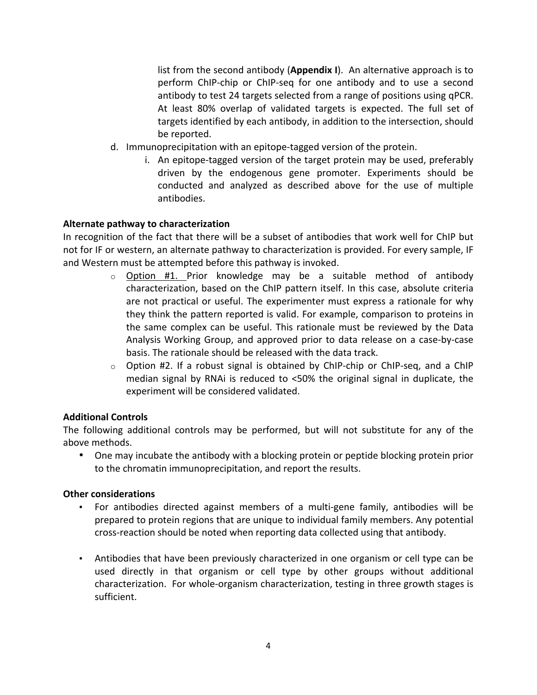list from the second antibody (**Appendix I**). An alternative approach is to perform ChIP-chip or ChIP-seq for one antibody and to use a second antibody to test 24 targets selected from a range of positions using qPCR. At least 80% overlap of validated targets is expected. The full set of targets identified by each antibody, in addition to the intersection, should be reported.

- d. Immunoprecipitation with an epitope-tagged version of the protein.
	- i. An epitope-tagged version of the target protein may be used, preferably driven by the endogenous gene promoter. Experiments should be conducted and analyzed as described above for the use of multiple antibodies.

### **Alternate pathway to characterization**

In recognition of the fact that there will be a subset of antibodies that work well for ChIP but not for IF or western, an alternate pathway to characterization is provided. For every sample, IF and Western must be attempted before this pathway is invoked.

- $\circ$  Option #1. Prior knowledge may be a suitable method of antibody characterization, based on the ChIP pattern itself. In this case, absolute criteria are not practical or useful. The experimenter must express a rationale for why they think the pattern reported is valid. For example, comparison to proteins in the same complex can be useful. This rationale must be reviewed by the Data Analysis Working Group, and approved prior to data release on a case-by-case basis. The rationale should be released with the data track.
- $\circ$  Option #2. If a robust signal is obtained by ChIP-chip or ChIP-seq, and a ChIP median signal by RNAi is reduced to  $<50\%$  the original signal in duplicate, the experiment will be considered validated.

### **Additional&Controls&**

The following additional controls may be performed, but will not substitute for any of the above methods.

• One may incubate the antibody with a blocking protein or peptide blocking protein prior to the chromatin immunoprecipitation, and report the results.

#### **Other considerations**

- For antibodies directed against members of a multi-gene family, antibodies will be prepared to protein regions that are unique to individual family members. Any potential cross-reaction should be noted when reporting data collected using that antibody.
- Antibodies that have been previously characterized in one organism or cell type can be used directly in that organism or cell type by other groups without additional characterization. For whole-organism characterization, testing in three growth stages is sufficient.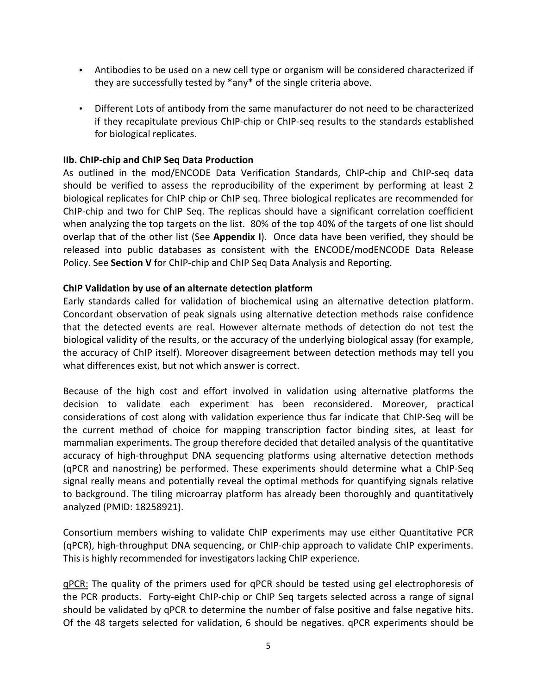- Antibodies to be used on a new cell type or organism will be considered characterized if they are successfully tested by  $*$ any $*$  of the single criteria above.
- Different Lots of antibody from the same manufacturer do not need to be characterized if they recapitulate previous ChIP-chip or ChIP-seq results to the standards established for biological replicates.

### **IIb. ChIP-chip and ChIP Seq Data Production**

As outlined in the mod/ENCODE Data Verification Standards, ChIP-chip and ChIP-seq data should be verified to assess the reproducibility of the experiment by performing at least 2 biological replicates for ChIP chip or ChIP seq. Three biological replicates are recommended for ChIP-chip and two for ChIP Seq. The replicas should have a significant correlation coefficient when analyzing the top targets on the list. 80% of the top 40% of the targets of one list should overlap that of the other list (See **Appendix I**)." Once data have been verified, they should be released into public databases as consistent with the ENCODE/modENCODE Data Release Policy. See **Section V** for ChIP-chip and ChIP Seq Data Analysis and Reporting.

### **ChIP Validation by use of an alternate detection platform**

Early standards called for validation of biochemical using an alternative detection platform. Concordant observation of peak signals using alternative detection methods raise confidence that the detected events are real. However alternate methods of detection do not test the biological validity of the results, or the accuracy of the underlying biological assay (for example, the accuracy of ChIP itself). Moreover disagreement between detection methods may tell you what differences exist, but not which answer is correct.

Because of the high cost and effort involved in validation using alternative platforms the decision to validate each experiment has been reconsidered. Moreover, practical considerations of cost along with validation experience thus far indicate that ChIP-Seq will be the current method of choice for mapping transcription factor binding sites, at least for mammalian experiments. The group therefore decided that detailed analysis of the quantitative accuracy of high-throughput DNA sequencing platforms using alternative detection methods (qPCR and nanostring) be performed. These experiments should determine what a ChIP-Seq signal really means and potentially reveal the optimal methods for quantifying signals relative to background. The tiling microarray platform has already been thoroughly and quantitatively analyzed (PMID: 18258921).

Consortium members wishing to validate ChIP experiments may use either Quantitative PCR (qPCR), high-throughput DNA sequencing, or ChIP-chip approach to validate ChIP experiments. This is highly recommended for investigators lacking ChIP experience.

qPCR: The quality of the primers used for qPCR should be tested using gel electrophoresis of the PCR products. Forty-eight ChIP-chip or ChIP Seq targets selected across a range of signal should be validated by qPCR to determine the number of false positive and false negative hits. Of the 48 targets selected for validation, 6 should be negatives. qPCR experiments should be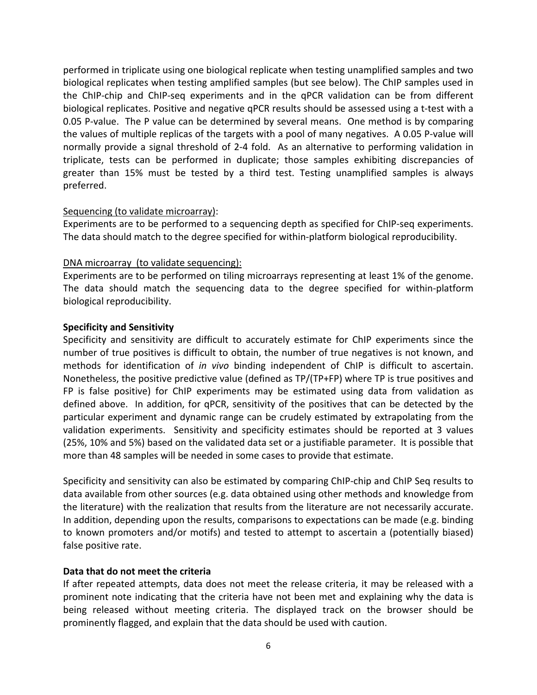performed in triplicate using one biological replicate when testing unamplified samples and two biological replicates when testing amplified samples (but see below). The ChIP samples used in the ChIP-chip and ChIP-seq experiments and in the qPCR validation can be from different biological replicates. Positive and negative gPCR results should be assessed using a t-test with a 0.05 P-value. The P value can be determined by several means. One method is by comparing the values of multiple replicas of the targets with a pool of many negatives. A 0.05 P-value will normally provide a signal threshold of 2-4 fold. As an alternative to performing validation in triplicate, tests can be performed in duplicate; those samples exhibiting discrepancies of greater than 15% must be tested by a third test. Testing unamplified samples is always preferred.

### Sequencing (to validate microarray):

Experiments are to be performed to a sequencing depth as specified for ChIP-seq experiments. The data should match to the degree specified for within-platform biological reproducibility.

### DNA microarray (to validate sequencing):

Experiments are to be performed on tiling microarrays representing at least 1% of the genome. The data should match the sequencing data to the degree specified for within-platform biological reproducibility.

### **Specificity and Sensitivity**

Specificity and sensitivity are difficult to accurately estimate for ChIP experiments since the number of true positives is difficult to obtain, the number of true negatives is not known, and methods for identification of *in vivo* binding independent of ChIP is difficult to ascertain. Nonetheless, the positive predictive value (defined as TP/(TP+FP) where TP is true positives and FP is false positive) for ChIP experiments may be estimated using data from validation as defined above. In addition, for qPCR, sensitivity of the positives that can be detected by the particular experiment and dynamic range can be crudely estimated by extrapolating from the validation experiments. Sensitivity and specificity estimates should be reported at 3 values (25%, 10% and 5%) based on the validated data set or a justifiable parameter. It is possible that more than 48 samples will be needed in some cases to provide that estimate.

Specificity and sensitivity can also be estimated by comparing ChIP-chip and ChIP Seq results to data available from other sources (e.g. data obtained using other methods and knowledge from the literature) with the realization that results from the literature are not necessarily accurate. In addition, depending upon the results, comparisons to expectations can be made (e.g. binding") to known promoters and/or motifs) and tested to attempt to ascertain a (potentially biased) false positive rate.

### Data that do not meet the criteria

If after repeated attempts, data does not meet the release criteria, it may be released with a prominent note indicating that the criteria have not been met and explaining why the data is being released without meeting criteria. The displayed track on the browser should be prominently flagged, and explain that the data should be used with caution.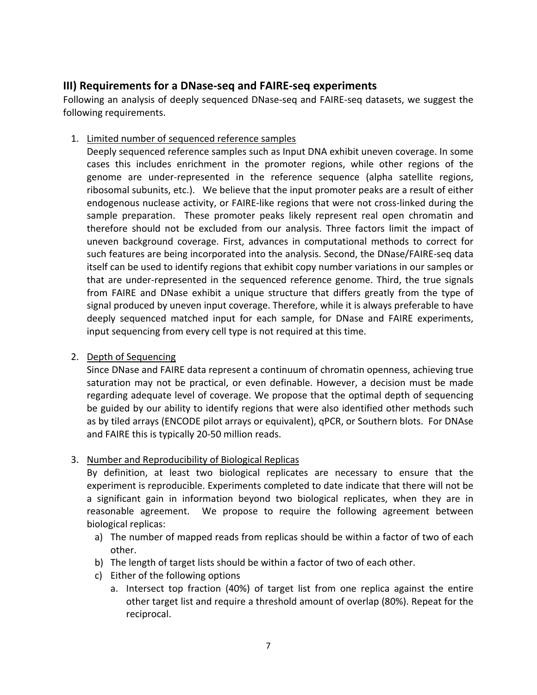# **III) Requirements for a DNase-seq and FAIRE-seq experiments**

Following an analysis of deeply sequenced DNase-seq and FAIRE-seq datasets, we suggest the following requirements.

1. Limited number of sequenced reference samples

Deeply sequenced reference samples such as Input DNA exhibit uneven coverage. In some cases this includes enrichment in the promoter regions, while other regions of the genome are under-represented in the reference sequence (alpha satellite regions, ribosomal subunits, etc.). We believe that the input promoter peaks are a result of either endogenous nuclease activity, or FAIRE-like regions that were not cross-linked during the sample preparation. These promoter peaks likely represent real open chromatin and therefore should not be excluded from our analysis. Three factors limit the impact of uneven background coverage. First, advances in computational methods to correct for such features are being incorporated into the analysis. Second, the DNase/FAIRE-seq data itself can be used to identify regions that exhibit copy number variations in our samples or that are under-represented in the sequenced reference genome. Third, the true signals from FAIRE and DNase exhibit a unique structure that differs greatly from the type of signal produced by uneven input coverage. Therefore, while it is always preferable to have deeply sequenced matched input for each sample, for DNase and FAIRE experiments, input sequencing from every cell type is not required at this time.

2. Depth of Sequencing

Since DNase and FAIRE data represent a continuum of chromatin openness, achieving true saturation may not be practical, or even definable. However, a decision must be made regarding adequate level of coverage. We propose that the optimal depth of sequencing be guided by our ability to identify regions that were also identified other methods such as by tiled arrays (ENCODE pilot arrays or equivalent), qPCR, or Southern blots. For DNAse and FAIRE this is typically 20-50 million reads.

3. Number and Reproducibility of Biological Replicas

By definition, at least two biological replicates are necessary to ensure that the experiment is reproducible. Experiments completed to date indicate that there will not be a significant gain in information beyond two biological replicates, when they are in reasonable agreement. We propose to require the following agreement between biological replicas:

- a) The number of mapped reads from replicas should be within a factor of two of each other.
- b) The length of target lists should be within a factor of two of each other.
- c) Either of the following options
	- a. Intersect top fraction (40%) of target list from one replica against the entire other target list and require a threshold amount of overlap (80%). Repeat for the reciprocal.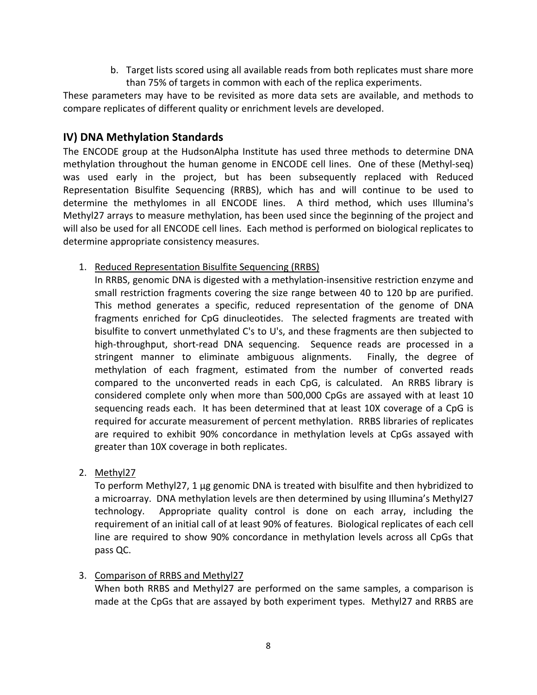b. Target lists scored using all available reads from both replicates must share more than 75% of targets in common with each of the replica experiments.

These parameters may have to be revisited as more data sets are available, and methods to compare replicates of different quality or enrichment levels are developed.

# **IV) DNA Methylation Standards**

The ENCODE group at the HudsonAlpha Institute has used three methods to determine DNA methylation throughout the human genome in ENCODE cell lines. One of these (Methyl-seq) was used early in the project, but has been subsequently replaced with Reduced Representation Bisulfite Sequencing (RRBS), which has and will continue to be used to determine the methylomes in all ENCODE lines. A third method, which uses Illumina's Methyl27 arrays to measure methylation, has been used since the beginning of the project and will also be used for all ENCODE cell lines. Each method is performed on biological replicates to determine appropriate consistency measures.

1. Reduced Representation Bisulfite Sequencing (RRBS)

In RRBS, genomic DNA is digested with a methylation-insensitive restriction enzyme and small restriction fragments covering the size range between 40 to 120 bp are purified. This method generates a specific, reduced representation of the genome of DNA fragments enriched for CpG dinucleotides. The selected fragments are treated with bisulfite to convert unmethylated C's to U's, and these fragments are then subjected to high-throughput, short-read DNA sequencing. Sequence reads are processed in a stringent manner to eliminate ambiguous alignments. Finally, the degree of methylation of each fragment, estimated from the number of converted reads compared to the unconverted reads in each CpG, is calculated. An RRBS library is considered complete only when more than 500,000 CpGs are assayed with at least 10 sequencing reads each. It has been determined that at least 10X coverage of a CpG is required for accurate measurement of percent methylation. RRBS libraries of replicates are required to exhibit 90% concordance in methylation levels at CpGs assayed with greater than 10X coverage in both replicates.

2. Methyl27

To perform Methyl27, 1 μg genomic DNA is treated with bisulfite and then hybridized to a microarray. DNA methylation levels are then determined by using Illumina's Methyl27 technology. Appropriate quality control is done on each array, including the requirement of an initial call of at least 90% of features. Biological replicates of each cell line are required to show 90% concordance in methylation levels across all CpGs that pass QC.

3. Comparison of RRBS and Methyl27

When both RRBS and Methyl27 are performed on the same samples, a comparison is made at the CpGs that are assayed by both experiment types. Methyl27 and RRBS are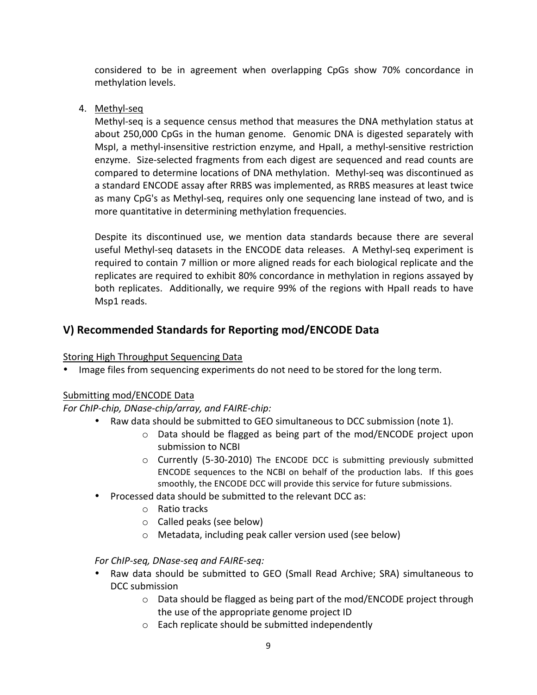considered to be in agreement when overlapping CpGs show 70% concordance in methylation levels.

4. Methyl-seq

Methyl-seq is a sequence census method that measures the DNA methylation status at about 250,000 CpGs in the human genome. Genomic DNA is digested separately with MspI, a methyl-insensitive restriction enzyme, and HpaII, a methyl-sensitive restriction enzyme. Size-selected fragments from each digest are sequenced and read counts are compared to determine locations of DNA methylation. Methyl-seq was discontinued as a standard ENCODE assay after RRBS was implemented, as RRBS measures at least twice as many CpG's as Methyl-seq, requires only one sequencing lane instead of two, and is more quantitative in determining methylation frequencies.

Despite its discontinued use, we mention data standards because there are several useful Methyl-seq datasets in the ENCODE data releases. A Methyl-seq experiment is required to contain 7 million or more aligned reads for each biological replicate and the replicates are required to exhibit 80% concordance in methylation in regions assayed by both replicates. Additionally, we require 99% of the regions with HpaII reads to have Msp1 reads.

# **V) Recommended Standards for Reporting mod/ENCODE Data**

# Storing High Throughput Sequencing Data

Image files from sequencing experiments do not need to be stored for the long term.

## Submitting mod/ENCODE Data

## *For ChIP-chip, DNase-chip/array, and FAIRE-chip:*

- Raw data should be submitted to GEO simultaneous to DCC submission (note 1).
	- $\circ$  Data should be flagged as being part of the mod/ENCODE project upon submission to NCBI
	- $\circ$  Currently (5-30-2010) The ENCODE DCC is submitting previously submitted ENCODE sequences to the NCBI on behalf of the production labs. If this goes smoothly, the ENCODE DCC will provide this service for future submissions.
- Processed data should be submitted to the relevant DCC as:
	- $\circ$  Ratio tracks
	- $\circ$  Called peaks (see below)
	- $\circ$  Metadata, including peak caller version used (see below)

## *For#ChIP,seq,#DNase,seq#and#FAIRE,seq:*

- Raw data should be submitted to GEO (Small Read Archive; SRA) simultaneous to DCC submission
	- $\circ$  Data should be flagged as being part of the mod/ENCODE project through the use of the appropriate genome project ID
	- $\circ$  Each replicate should be submitted independently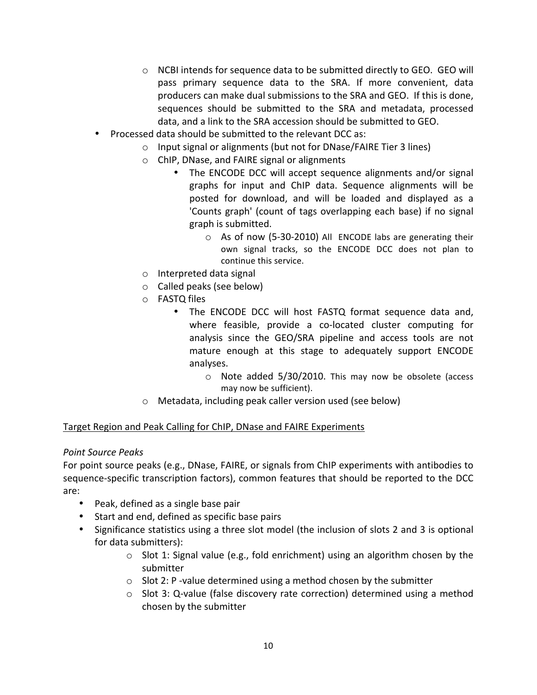- $\circ$  NCBI intends for sequence data to be submitted directly to GEO. GEO will pass primary sequence data to the SRA. If more convenient, data producers can make dual submissions to the SRA and GEO. If this is done, sequences should be submitted to the SRA and metadata, processed data, and a link to the SRA accession should be submitted to GEO.
- Processed data should be submitted to the relevant DCC as:
	- $\circ$  Input signal or alignments (but not for DNase/FAIRE Tier 3 lines)
	- $\circ$  ChIP, DNase, and FAIRE signal or alignments
		- The ENCODE DCC will accept sequence alignments and/or signal graphs for input and ChIP data. Sequence alignments will be posted for download, and will be loaded and displayed as a 'Counts graph' (count of tags overlapping each base) if no signal graph is submitted.
			- $\circ$  As of now (5-30-2010) All ENCODE labs are generating their own signal tracks, so the ENCODE DCC does not plan to continue this service.
	- $\circ$  Interpreted data signal
	- $\circ$  Called peaks (see below)
	- o **FASTQ** files
		- The ENCODE DCC will host FASTQ format sequence data and, where feasible, provide a co-located cluster computing for analysis since the GEO/SRA pipeline and access tools are not mature enough at this stage to adequately support ENCODE analyses.
			- $\circ$  Note added 5/30/2010. This may now be obsolete (access may now be sufficient).
	- $\circ$  Metadata, including peak caller version used (see below)

### Target Region and Peak Calling for ChIP, DNase and FAIRE Experiments

### *Point#Source#Peaks*

For point source peaks (e.g., DNase, FAIRE, or signals from ChIP experiments with antibodies to sequence-specific transcription factors), common features that should be reported to the DCC are:

- Peak, defined as a single base pair
- Start and end, defined as specific base pairs
- Significance statistics using a three slot model (the inclusion of slots 2 and 3 is optional for data submitters):
	- $\circ$  Slot 1: Signal value (e.g., fold enrichment) using an algorithm chosen by the submitter
	- $\circ$  Slot 2: P -value determined using a method chosen by the submitter
	- $\circ$  Slot 3: Q-value (false discovery rate correction) determined using a method chosen by the submitter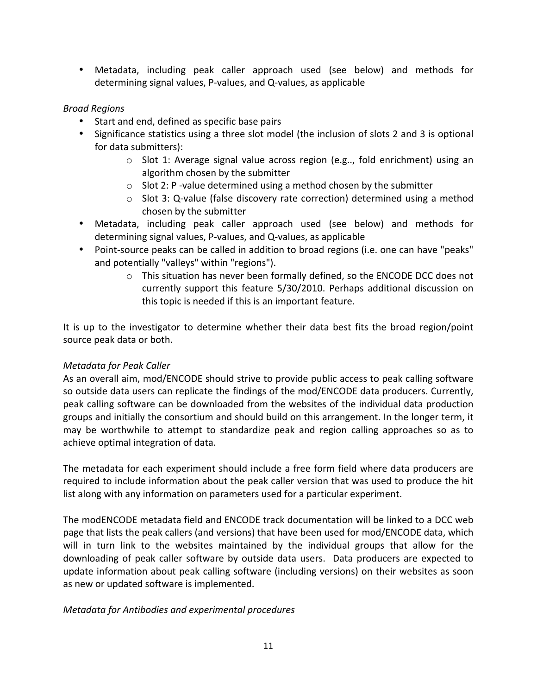• Metadata, including peak caller approach used (see below) and methods for determining signal values, P-values, and Q-values, as applicable

## *Broad#Regions#*

- Start and end, defined as specific base pairs
- Significance statistics using a three slot model (the inclusion of slots 2 and 3 is optional for data submitters):
	- $\circ$  Slot 1: Average signal value across region (e.g.., fold enrichment) using an algorithm chosen by the submitter
	- $\circ$  Slot 2: P -value determined using a method chosen by the submitter
	- $\circ$  Slot 3: Q-value (false discovery rate correction) determined using a method chosen by the submitter
- Metadata, including peak caller approach used (see below) and methods for determining signal values, P-values, and Q-values, as applicable
- Point-source peaks can be called in addition to broad regions (i.e. one can have "peaks" and potentially "valleys" within "regions").
	- $\circ$  This situation has never been formally defined, so the ENCODE DCC does not currently support this feature 5/30/2010. Perhaps additional discussion on this topic is needed if this is an important feature.

It is up to the investigator to determine whether their data best fits the broad region/point source peak data or both.

## *Metadata for Peak Caller*

As an overall aim, mod/ENCODE should strive to provide public access to peak calling software so outside data users can replicate the findings of the mod/ENCODE data producers. Currently, peak calling software can be downloaded from the websites of the individual data production groups and initially the consortium and should build on this arrangement. In the longer term, it may be worthwhile to attempt to standardize peak and region calling approaches so as to achieve optimal integration of data.

The metadata for each experiment should include a free form field where data producers are required to include information about the peak caller version that was used to produce the hit list along with any information on parameters used for a particular experiment.

The modENCODE metadata field and ENCODE track documentation will be linked to a DCC web page that lists the peak callers (and versions) that have been used for mod/ENCODE data, which will in turn link to the websites maintained by the individual groups that allow for the downloading of peak caller software by outside data users. Data producers are expected to update information about peak calling software (including versions) on their websites as soon as new or updated software is implemented.

## *Metadata for Antibodies and experimental procedures*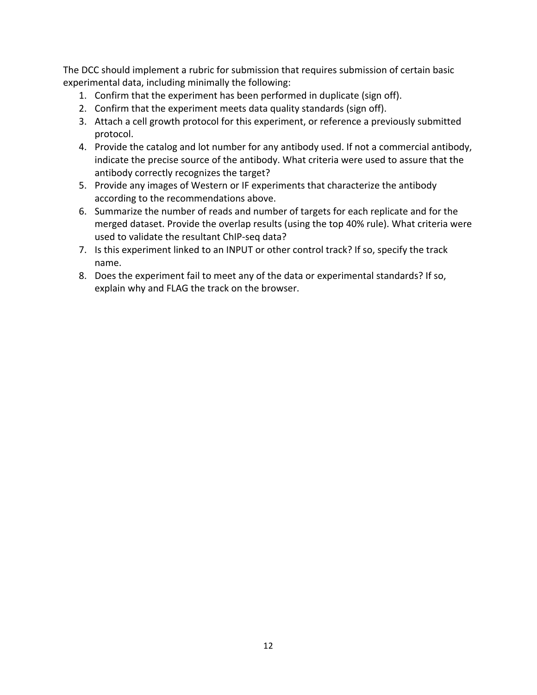The DCC should implement a rubric for submission that requires submission of certain basic experimental data, including minimally the following:

- 1. Confirm that the experiment has been performed in duplicate (sign off).
- 2. Confirm that the experiment meets data quality standards (sign off).
- 3. Attach a cell growth protocol for this experiment, or reference a previously submitted protocol.
- 4. Provide the catalog and lot number for any antibody used. If not a commercial antibody, indicate the precise source of the antibody. What criteria were used to assure that the antibody correctly recognizes the target?
- 5. Provide any images of Western or IF experiments that characterize the antibody according to the recommendations above.
- 6. Summarize the number of reads and number of targets for each replicate and for the merged dataset. Provide the overlap results (using the top 40% rule). What criteria were used to validate the resultant ChIP-seq data?
- 7. Is this experiment linked to an INPUT or other control track? If so, specify the track name.
- 8. Does the experiment fail to meet any of the data or experimental standards? If so, explain why and FLAG the track on the browser.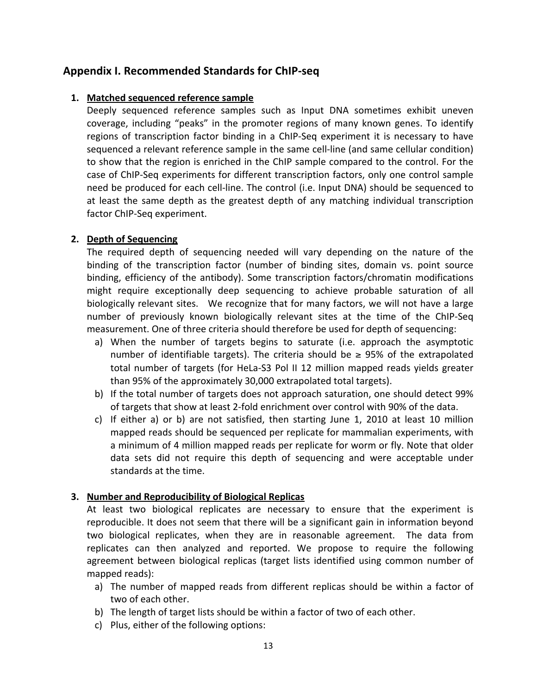# **Appendix&I.&Recommended&Standards&for&ChIPPseq**

### 1. Matched sequenced reference sample

Deeply sequenced reference samples such as Input DNA sometimes exhibit uneven coverage, including "peaks" in the promoter regions of many known genes. To identify regions of transcription factor binding in a ChIP-Seq experiment it is necessary to have sequenced a relevant reference sample in the same cell-line (and same cellular condition) to show that the region is enriched in the ChIP sample compared to the control. For the case of ChIP-Seq experiments for different transcription factors, only one control sample need be produced for each cell-line. The control (i.e. Input DNA) should be sequenced to at least the same depth as the greatest depth of any matching individual transcription factor ChIP-Seq experiment.

## **2.** Depth of Sequencing

The required depth of sequencing needed will vary depending on the nature of the binding of the transcription factor (number of binding sites, domain vs. point source binding, efficiency of the antibody). Some transcription factors/chromatin modifications might require exceptionally deep sequencing to achieve probable saturation of all biologically relevant sites. We recognize that for many factors, we will not have a large number of previously known biologically relevant sites at the time of the ChIP-Seq measurement. One of three criteria should therefore be used for depth of sequencing:

- a) When the number of targets begins to saturate (i.e. approach the asymptotic number of identifiable targets). The criteria should be  $\ge$  95% of the extrapolated total number of targets (for HeLa-S3 Pol II 12 million mapped reads yields greater than 95% of the approximately 30,000 extrapolated total targets).
- b) If the total number of targets does not approach saturation, one should detect 99% of targets that show at least 2-fold enrichment over control with 90% of the data.
- c) If either a) or b) are not satisfied, then starting June 1, 2010 at least 10 million mapped reads should be sequenced per replicate for mammalian experiments, with a minimum of 4 million mapped reads per replicate for worm or fly. Note that older data sets did not require this depth of sequencing and were acceptable under standards at the time.

## **3.** Number and Reproducibility of Biological Replicas

At least two biological replicates are necessary to ensure that the experiment is reproducible. It does not seem that there will be a significant gain in information beyond two biological replicates, when they are in reasonable agreement. The data from replicates can then analyzed and reported. We propose to require the following agreement between biological replicas (target lists identified using common number of mapped reads):

- a) The number of mapped reads from different replicas should be within a factor of two of each other.
- b) The length of target lists should be within a factor of two of each other.
- c) Plus, either of the following options: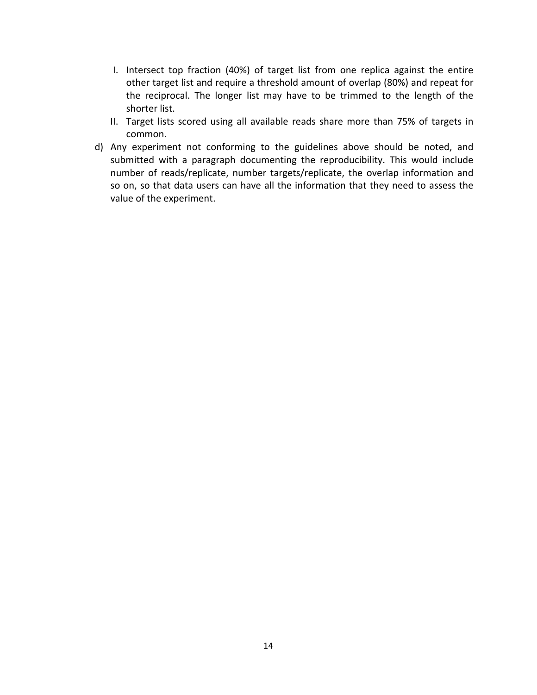- I. Intersect top fraction (40%) of target list from one replica against the entire other target list and require a threshold amount of overlap (80%) and repeat for the reciprocal. The longer list may have to be trimmed to the length of the shorter list.
- II. Target lists scored using all available reads share more than 75% of targets in common.
- d) Any experiment not conforming to the guidelines above should be noted, and submitted with a paragraph documenting the reproducibility. This would include number of reads/replicate, number targets/replicate, the overlap information and so on, so that data users can have all the information that they need to assess the value of the experiment.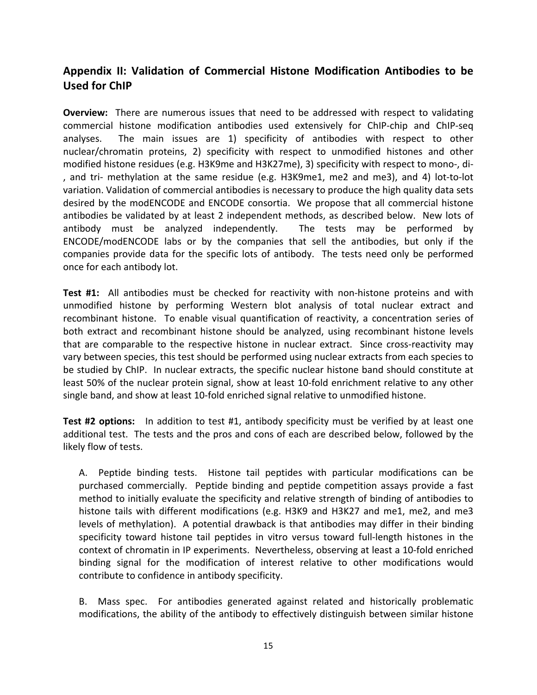# Appendix II: Validation of Commercial Histone Modification Antibodies to be **Used for ChIP**

**Overview:** There are numerous issues that need to be addressed with respect to validating commercial histone modification antibodies used extensively for ChIP-chip and ChIP-seq analyses. The main issues are 1) specificity of antibodies with respect to other nuclear/chromatin proteins, 2) specificity with respect to unmodified histones and other modified histone residues (e.g. H3K9me and H3K27me), 3) specificity with respect to mono-, di-, and tri- methylation at the same residue (e.g. H3K9me1, me2 and me3), and 4) lot-to-lot variation. Validation of commercial antibodies is necessary to produce the high quality data sets desired by the modENCODE and ENCODE consortia. We propose that all commercial histone antibodies be validated by at least 2 independent methods, as described below. New lots of antibody must be analyzed independently. The tests may be performed by ENCODE/modENCODE labs or by the companies that sell the antibodies, but only if the companies provide data for the specific lots of antibody. The tests need only be performed once for each antibody lot.

**Test #1:** All antibodies must be checked for reactivity with non-histone proteins and with unmodified histone by performing Western blot analysis of total nuclear extract and recombinant histone. To enable visual quantification of reactivity, a concentration series of both extract and recombinant histone should be analyzed, using recombinant histone levels that are comparable to the respective histone in nuclear extract. Since cross-reactivity may vary between species, this test should be performed using nuclear extracts from each species to be studied by ChIP. In nuclear extracts, the specific nuclear histone band should constitute at least 50% of the nuclear protein signal, show at least 10-fold enrichment relative to any other single band, and show at least 10-fold enriched signal relative to unmodified histone.

**Test #2 options:** In addition to test #1, antibody specificity must be verified by at least one additional test. The tests and the pros and cons of each are described below, followed by the likely flow of tests.

A. Peptide binding tests. Histone tail peptides with particular modifications can be purchased commercially. " Peptide binding and peptide competition assays provide a fast method to initially evaluate the specificity and relative strength of binding of antibodies to histone tails with different modifications (e.g. H3K9 and H3K27 and me1, me2, and me3 levels of methylation). A potential drawback is that antibodies may differ in their binding specificity toward histone tail peptides in vitro versus toward full-length histones in the context of chromatin in IP experiments. Nevertheless, observing at least a 10-fold enriched binding signal for the modification of interest relative to other modifications would contribute to confidence in antibody specificity.

B. Mass spec. For antibodies generated against related and historically problematic modifications, the ability of the antibody to effectively distinguish between similar histone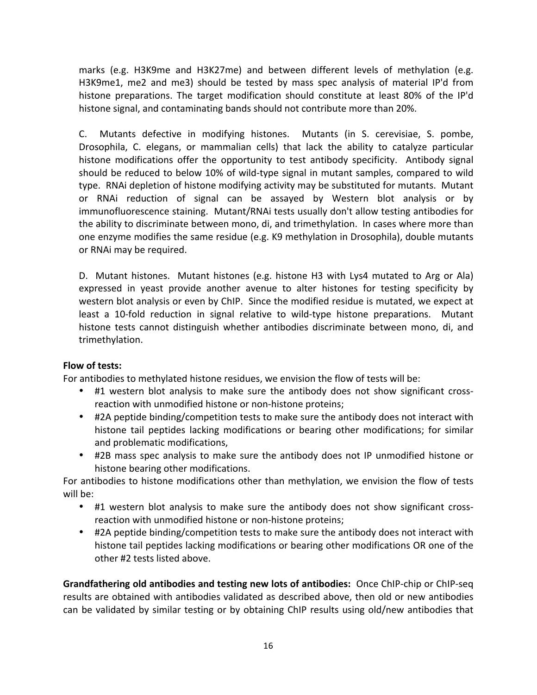marks (e.g. H3K9me and H3K27me) and between different levels of methylation (e.g. H3K9me1, me2 and me3) should be tested by mass spec analysis of material IP'd from histone preparations. The target modification should constitute at least 80% of the IP'd histone signal, and contaminating bands should not contribute more than 20%.

C. Mutants defective in modifying histones. Mutants (in S. cerevisiae, S. pombe, Drosophila, C. elegans, or mammalian cells) that lack the ability to catalyze particular histone modifications offer the opportunity to test antibody specificity. Antibody signal should be reduced to below 10% of wild-type signal in mutant samples, compared to wild type. "RNAi depletion of histone modifying activity may be substituted for mutants. Mutant or RNAi reduction of signal can be assayed by Western blot analysis or by immunofluorescence staining. "Mutant/RNAi tests usually don't allow testing antibodies for the ability to discriminate between mono, di, and trimethylation. In cases where more than one enzyme modifies the same residue (e.g. K9 methylation in Drosophila), double mutants or RNAi may be required.

D. "Mutant histones. "Mutant histones (e.g. histone H3 with Lys4 mutated to Arg or Ala)" expressed in yeast provide another avenue to alter histones for testing specificity by western blot analysis or even by ChIP. Since the modified residue is mutated, we expect at least a 10-fold reduction in signal relative to wild-type histone preparations. Mutant histone tests cannot distinguish whether antibodies discriminate between mono, di, and trimethylation.

### Flow of tests:

For antibodies to methylated histone residues, we envision the flow of tests will be:

- #1 western blot analysis to make sure the antibody does not show significant crossreaction with unmodified histone or non-histone proteins;
- #2A peptide binding/competition tests to make sure the antibody does not interact with histone tail peptides lacking modifications or bearing other modifications; for similar and problematic modifications,
- #2B mass spec analysis to make sure the antibody does not IP unmodified histone or histone bearing other modifications.

For antibodies to histone modifications other than methylation, we envision the flow of tests will be:

- #1 western blot analysis to make sure the antibody does not show significant crossreaction with unmodified histone or non-histone proteins;
- #2A peptide binding/competition tests to make sure the antibody does not interact with histone tail peptides lacking modifications or bearing other modifications OR one of the other #2 tests listed above.

**Grandfathering old antibodies and testing new lots of antibodies:** Once ChIP-chip or ChIP-seq results are obtained with antibodies validated as described above, then old or new antibodies can be validated by similar testing or by obtaining ChIP results using old/new antibodies that